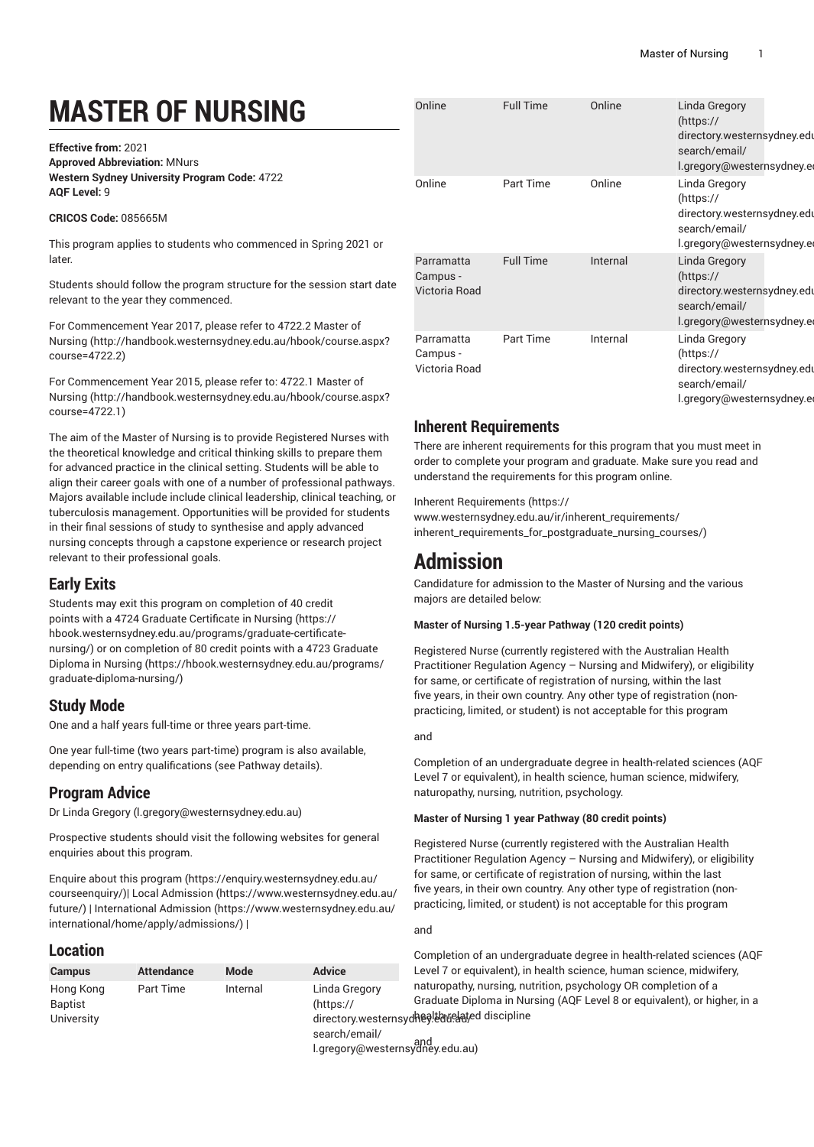# **MASTER OF NURSING**

**Effective from:** 2021 **Approved Abbreviation:** MNurs **Western Sydney University Program Code:** 4722 **AQF Level:** 9

#### **CRICOS Code:** 085665M

This program applies to students who commenced in Spring 2021 or later.

Students should follow the program structure for the session start date relevant to the year they commenced.

For [Commencement](http://handbook.westernsydney.edu.au/hbook/course.aspx?course=4722.2) Year 2017, please refer to 4722.2 Master of [Nursing](http://handbook.westernsydney.edu.au/hbook/course.aspx?course=4722.2) ([http://handbook.westernsydney.edu.au/hbook/course.aspx?](http://handbook.westernsydney.edu.au/hbook/course.aspx?course=4722.2) [course=4722.2\)](http://handbook.westernsydney.edu.au/hbook/course.aspx?course=4722.2)

For [Commencement](http://handbook.westernsydney.edu.au/hbook/course.aspx?course=4722.1) Year 2015, please refer to: 4722.1 Master of [Nursing](http://handbook.westernsydney.edu.au/hbook/course.aspx?course=4722.1) ([http://handbook.westernsydney.edu.au/hbook/course.aspx?](http://handbook.westernsydney.edu.au/hbook/course.aspx?course=4722.1) [course=4722.1\)](http://handbook.westernsydney.edu.au/hbook/course.aspx?course=4722.1)

The aim of the Master of Nursing is to provide Registered Nurses with the theoretical knowledge and critical thinking skills to prepare them for advanced practice in the clinical setting. Students will be able to align their career goals with one of a number of professional pathways. Majors available include include clinical leadership, clinical teaching, or tuberculosis management. Opportunities will be provided for students in their final sessions of study to synthesise and apply advanced nursing concepts through a capstone experience or research project relevant to their professional goals.

# **Early Exits**

Students may exit this program on completion of 40 credit points with a 4724 Graduate [Certificate](https://hbook.westernsydney.edu.au/programs/graduate-certificate-nursing/) in Nursing ([https://](https://hbook.westernsydney.edu.au/programs/graduate-certificate-nursing/) [hbook.westernsydney.edu.au/programs/graduate-certificate](https://hbook.westernsydney.edu.au/programs/graduate-certificate-nursing/)[nursing/](https://hbook.westernsydney.edu.au/programs/graduate-certificate-nursing/)) or on completion of 80 credit points with a [4723 Graduate](https://hbook.westernsydney.edu.au/programs/graduate-diploma-nursing/) [Diploma in Nursing \(https://hbook.westernsydney.edu.au/programs/](https://hbook.westernsydney.edu.au/programs/graduate-diploma-nursing/) [graduate-diploma-nursing/\)](https://hbook.westernsydney.edu.au/programs/graduate-diploma-nursing/)

# **Study Mode**

One and a half years full-time or three years part-time.

One year full-time (two years part-time) program is also available, depending on entry qualifications (see Pathway details).

# **Program Advice**

Dr Linda [Gregory](mailto:l.gregory@westernsydney.edu.au) (<l.gregory@westernsydney.edu.au>)

Prospective students should visit the following websites for general enquiries about this program.

Enquire about this [program \(https://enquiry.westernsydney.edu.au/](https://enquiry.westernsydney.edu.au/courseenquiry/) [courseenquiry/](https://enquiry.westernsydney.edu.au/courseenquiry/))| [Local Admission \(https://www.westernsydney.edu.au/](https://www.westernsydney.edu.au/future/) [future/\)](https://www.westernsydney.edu.au/future/) | [International Admission](https://www.westernsydney.edu.au/international/home/apply/admissions/) ([https://www.westernsydney.edu.au/](https://www.westernsydney.edu.au/international/home/apply/admissions/) [international/home/apply/admissions/](https://www.westernsydney.edu.au/international/home/apply/admissions/)) |

# **Location**

| <b>Campus</b>                      | <b>Attendance</b> | Mode     | <b>Advice</b>                                                   |
|------------------------------------|-------------------|----------|-----------------------------------------------------------------|
| Hong Kong<br>Baptist<br>University | Part Time         | Internal | Linda Gregory<br>(htps://<br>directory.western<br>search/email/ |

[l.gregory@westernsydney.edu.au\)](https://directory.westernsydney.edu.au/search/email/l.gregory@westernsydney.edu.au) and

| Online                                  | <b>Full Time</b> | Online   | Linda Gregory<br>(htps://<br>directory westernsydney edu<br>search/email/<br>l.gregory@westernsydney.e   |
|-----------------------------------------|------------------|----------|----------------------------------------------------------------------------------------------------------|
| Online                                  | <b>Part Time</b> | Online   | Linda Gregory<br>(https://<br>directory.westernsydney.edu<br>search/email/<br>l.gregory@westernsydney.e  |
| Parramatta<br>Campus -<br>Victoria Road | <b>Full Time</b> | Internal | Linda Gregory<br>(htips://<br>directory westernsydney edu<br>search/email/<br>l.gregory@westernsydney.eo |
| Parramatta<br>Campus -<br>Victoria Road | <b>Part Time</b> | Internal | Linda Gregory<br>(https://<br>directory.westernsydney.edu<br>search/email/<br>l.gregory@westernsydney.e  |

# **Inherent Requirements**

There are inherent requirements for this program that you must meet in order to complete your program and graduate. Make sure you read and understand the requirements for this program online.

Inherent [Requirements](https://www.westernsydney.edu.au/ir/inherent_requirements/inherent_requirements_for_postgraduate_nursing_courses/) ([https://](https://www.westernsydney.edu.au/ir/inherent_requirements/inherent_requirements_for_postgraduate_nursing_courses/) [www.westernsydney.edu.au/ir/inherent\\_requirements/](https://www.westernsydney.edu.au/ir/inherent_requirements/inherent_requirements_for_postgraduate_nursing_courses/) [inherent\\_requirements\\_for\\_postgraduate\\_nursing\\_courses/\)](https://www.westernsydney.edu.au/ir/inherent_requirements/inherent_requirements_for_postgraduate_nursing_courses/)

# **Admission**

Candidature for admission to the Master of Nursing and the various majors are detailed below:

#### **Master of Nursing 1.5-year Pathway (120 credit points)**

Registered Nurse (currently registered with the Australian Health Practitioner Regulation Agency – Nursing and Midwifery), or eligibility for same, or certificate of registration of nursing, within the last five years, in their own country. Any other type of registration (nonpracticing, limited, or student) is not acceptable for this program

#### and

Completion of an undergraduate degree in health-related sciences (AQF Level 7 or equivalent), in health science, human science, midwifery, naturopathy, nursing, nutrition, psychology.

#### **Master of Nursing 1 year Pathway (80 credit points)**

Registered Nurse (currently registered with the Australian Health Practitioner Regulation Agency – Nursing and Midwifery), or eligibility for same, or certificate of registration of nursing, within the last five years, in their own country. Any other type of registration (nonpracticing, limited, or student) is not acceptable for this program

and

directory.westernsydheg!bauelated discipline Completion of an undergraduate degree in health-related sciences (AQF Level 7 or equivalent), in health science, human science, midwifery, naturopathy, nursing, nutrition, psychology OR completion of a Graduate Diploma in Nursing (AQF Level 8 or equivalent), or higher, in a